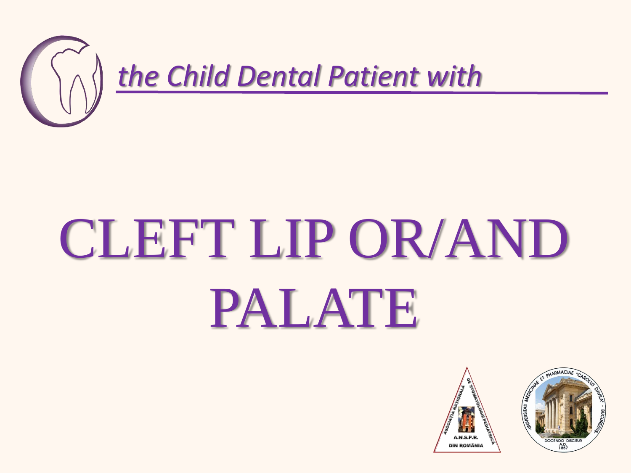

## CLEFT LIP OR/AND PALATE



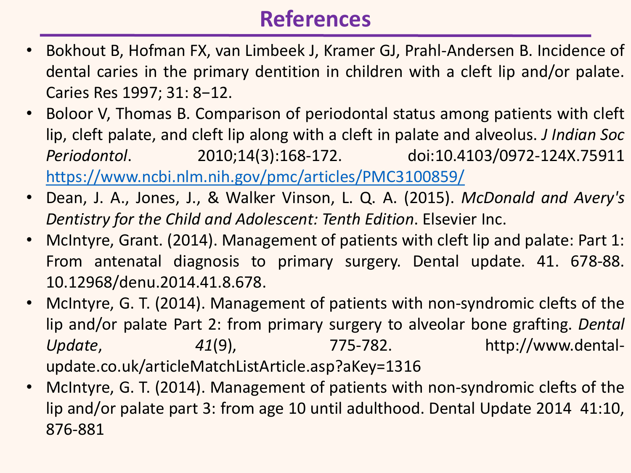## **References**

- Bokhout B, Hofman FX, van Limbeek J, Kramer GJ, Prahl-Andersen B. Incidence of dental caries in the primary dentition in children with a cleft lip and/or palate. Caries Res 1997; 31: 8−12.
- Boloor V, Thomas B. Comparison of periodontal status among patients with cleft lip, cleft palate, and cleft lip along with a cleft in palate and alveolus. *J Indian Soc Periodontol*. 2010;14(3):168‐172. doi:10.4103/0972-124X.75911 [https://www.ncbi.nlm.nih.gov/pmc/articles/PMC3100859/](about:blank)
- Dean, J. A., Jones, J., & Walker Vinson, L. Q. A. (2015). *McDonald and Avery's Dentistry for the Child and Adolescent: Tenth Edition*. Elsevier Inc.
- McIntyre, Grant. (2014). Management of patients with cleft lip and palate: Part 1: From antenatal diagnosis to primary surgery. Dental update. 41. 678-88. 10.12968/denu.2014.41.8.678.
- McIntyre, G. T. (2014). Management of patients with non-syndromic clefts of the lip and/or palate Part 2: from primary surgery to alveolar bone grafting. *Dental Update*, *41*(9), 775-782. http://www.dentalupdate.co.uk/articleMatchListArticle.asp?aKey=1316
- McIntyre, G. T. (2014). Management of patients with non-syndromic clefts of the lip and/or palate part 3: from age 10 until adulthood. Dental Update 2014 41:10, 876-881